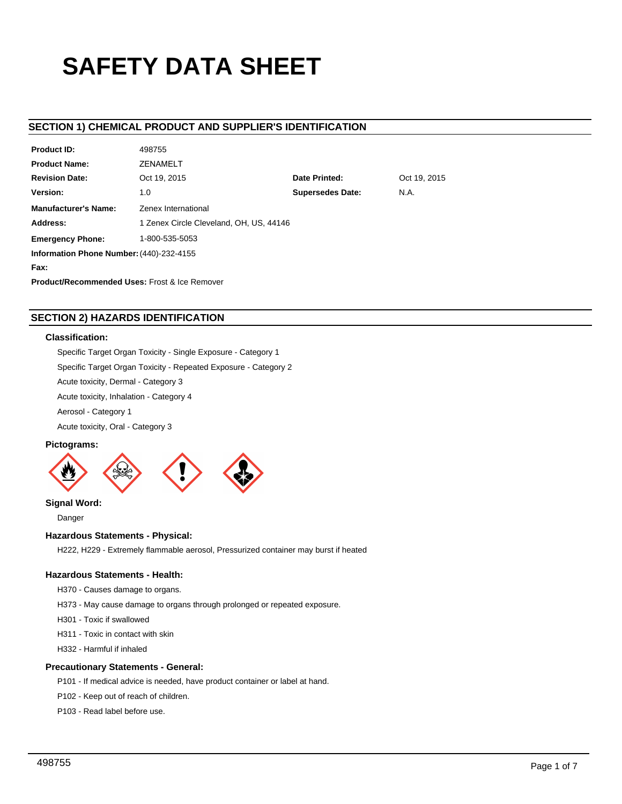# **SAFETY DATA SHEET**

# **SECTION 1) CHEMICAL PRODUCT AND SUPPLIER'S IDENTIFICATION**

| <b>Product ID:</b>                                       | 498755                                  |                         |              |  |  |
|----------------------------------------------------------|-----------------------------------------|-------------------------|--------------|--|--|
| <b>Product Name:</b>                                     | <b>ZENAMELT</b>                         |                         |              |  |  |
| <b>Revision Date:</b>                                    | Oct 19, 2015                            | Date Printed:           | Oct 19, 2015 |  |  |
| Version:                                                 | 1.0                                     | <b>Supersedes Date:</b> | N.A.         |  |  |
| <b>Manufacturer's Name:</b>                              | Zenex International                     |                         |              |  |  |
| Address:                                                 | 1 Zenex Circle Cleveland, OH, US, 44146 |                         |              |  |  |
| <b>Emergency Phone:</b>                                  | 1-800-535-5053                          |                         |              |  |  |
| Information Phone Number: (440)-232-4155                 |                                         |                         |              |  |  |
| Fax:                                                     |                                         |                         |              |  |  |
| <b>Product/Recommended Uses: Frost &amp; Ice Remover</b> |                                         |                         |              |  |  |

# **SECTION 2) HAZARDS IDENTIFICATION**

## **Classification:**

Specific Target Organ Toxicity - Single Exposure - Category 1

Specific Target Organ Toxicity - Repeated Exposure - Category 2

Acute toxicity, Dermal - Category 3

Acute toxicity, Inhalation - Category 4

Aerosol - Category 1

Acute toxicity, Oral - Category 3

## **Pictograms:**



**Signal Word:**

Danger

# **Hazardous Statements - Physical:**

H222, H229 - Extremely flammable aerosol, Pressurized container may burst if heated

## **Hazardous Statements - Health:**

H370 - Causes damage to organs.

H373 - May cause damage to organs through prolonged or repeated exposure.

H301 - Toxic if swallowed

H311 - Toxic in contact with skin

H332 - Harmful if inhaled

## **Precautionary Statements - General:**

P101 - If medical advice is needed, have product container or label at hand.

P102 - Keep out of reach of children.

P103 - Read label before use.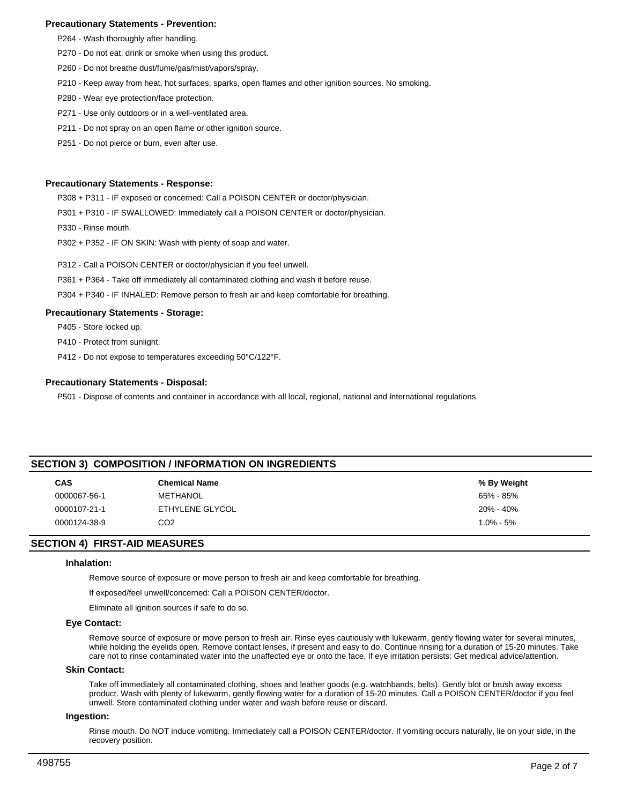## **Precautionary Statements - Prevention:**

- P264 Wash thoroughly after handling.
- P270 Do not eat, drink or smoke when using this product.
- P260 Do not breathe dust/fume/gas/mist/vapors/spray.
- P210 Keep away from heat, hot surfaces, sparks, open flames and other ignition sources. No smoking.
- P280 Wear eye protection/face protection.
- P271 Use only outdoors or in a well-ventilated area.
- P211 Do not spray on an open flame or other ignition source.
- P251 Do not pierce or burn, even after use.

## **Precautionary Statements - Response:**

P308 + P311 - IF exposed or concerned: Call a POISON CENTER or doctor/physician.

- P301 + P310 IF SWALLOWED: Immediately call a POISON CENTER or doctor/physician.
- P330 Rinse mouth.
- P302 + P352 IF ON SKIN: Wash with plenty of soap and water.
- P312 Call a POISON CENTER or doctor/physician if you feel unwell.
- P361 + P364 Take off immediately all contaminated clothing and wash it before reuse.
- P304 + P340 IF INHALED: Remove person to fresh air and keep comfortable for breathing.

#### **Precautionary Statements - Storage:**

P405 - Store locked up.

P410 - Protect from sunlight.

P412 - Do not expose to temperatures exceeding 50°C/122°F.

#### **Precautionary Statements - Disposal:**

P501 - Dispose of contents and container in accordance with all local, regional, national and international regulations.

## **SECTION 3) COMPOSITION / INFORMATION ON INGREDIENTS**

| <b>CAS</b>   | <b>Chemical Name</b> | % By Weight   |
|--------------|----------------------|---------------|
| 0000067-56-1 | METHANOL             | 65% - 85%     |
| 0000107-21-1 | ETHYLENE GLYCOL      | 20% - 40%     |
| 0000124-38-9 | CO2                  | $1.0\% - 5\%$ |

## **SECTION 4) FIRST-AID MEASURES**

## **Inhalation:**

Remove source of exposure or move person to fresh air and keep comfortable for breathing.

If exposed/feel unwell/concerned: Call a POISON CENTER/doctor.

Eliminate all ignition sources if safe to do so.

#### **Eye Contact:**

Remove source of exposure or move person to fresh air. Rinse eyes cautiously with lukewarm, gently flowing water for several minutes, while holding the eyelids open. Remove contact lenses, if present and easy to do. Continue rinsing for a duration of 15-20 minutes. Take care not to rinse contaminated water into the unaffected eye or onto the face. If eye irritation persists: Get medical advice/attention.

#### **Skin Contact:**

Take off immediately all contaminated clothing, shoes and leather goods (e.g. watchbands, belts). Gently blot or brush away excess product. Wash with plenty of lukewarm, gently flowing water for a duration of 15-20 minutes. Call a POISON CENTER/doctor if you feel unwell. Store contaminated clothing under water and wash before reuse or discard.

## **Ingestion:**

Rinse mouth. Do NOT induce vomiting. Immediately call a POISON CENTER/doctor. If vomiting occurs naturally, lie on your side, in the recovery position.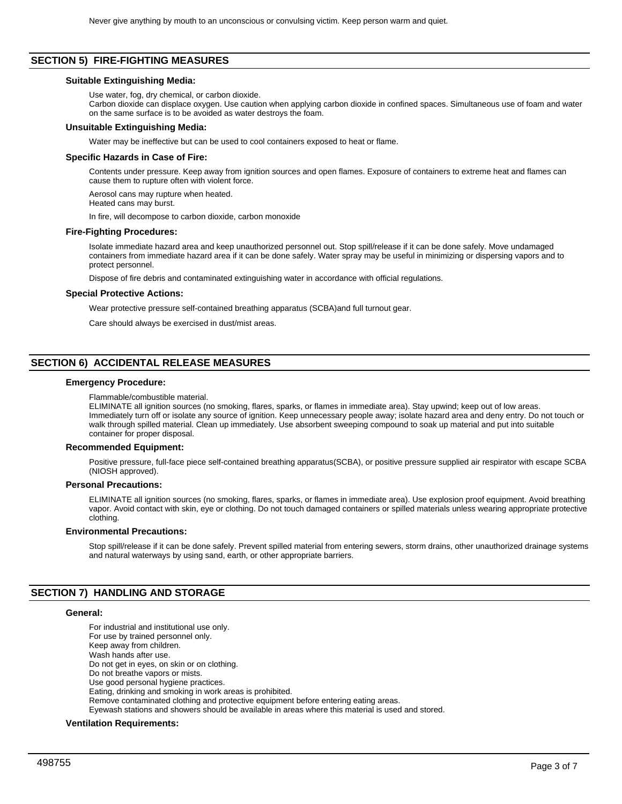## **SECTION 5) FIRE-FIGHTING MEASURES**

#### **Suitable Extinguishing Media:**

Use water, fog, dry chemical, or carbon dioxide.

Carbon dioxide can displace oxygen. Use caution when applying carbon dioxide in confined spaces. Simultaneous use of foam and water on the same surface is to be avoided as water destroys the foam.

#### **Unsuitable Extinguishing Media:**

Water may be ineffective but can be used to cool containers exposed to heat or flame.

## **Specific Hazards in Case of Fire:**

Contents under pressure. Keep away from ignition sources and open flames. Exposure of containers to extreme heat and flames can cause them to rupture often with violent force.

Aerosol cans may rupture when heated.

Heated cans may burst.

In fire, will decompose to carbon dioxide, carbon monoxide

## **Fire-Fighting Procedures:**

Isolate immediate hazard area and keep unauthorized personnel out. Stop spill/release if it can be done safely. Move undamaged containers from immediate hazard area if it can be done safely. Water spray may be useful in minimizing or dispersing vapors and to protect personnel.

Dispose of fire debris and contaminated extinguishing water in accordance with official regulations.

## **Special Protective Actions:**

Wear protective pressure self-contained breathing apparatus (SCBA)and full turnout gear.

Care should always be exercised in dust/mist areas.

# **SECTION 6) ACCIDENTAL RELEASE MEASURES**

## **Emergency Procedure:**

Flammable/combustible material.

ELIMINATE all ignition sources (no smoking, flares, sparks, or flames in immediate area). Stay upwind; keep out of low areas. Immediately turn off or isolate any source of ignition. Keep unnecessary people away; isolate hazard area and deny entry. Do not touch or walk through spilled material. Clean up immediately. Use absorbent sweeping compound to soak up material and put into suitable container for proper disposal.

#### **Recommended Equipment:**

Positive pressure, full-face piece self-contained breathing apparatus(SCBA), or positive pressure supplied air respirator with escape SCBA (NIOSH approved).

## **Personal Precautions:**

ELIMINATE all ignition sources (no smoking, flares, sparks, or flames in immediate area). Use explosion proof equipment. Avoid breathing vapor. Avoid contact with skin, eye or clothing. Do not touch damaged containers or spilled materials unless wearing appropriate protective clothing.

## **Environmental Precautions:**

Stop spill/release if it can be done safely. Prevent spilled material from entering sewers, storm drains, other unauthorized drainage systems and natural waterways by using sand, earth, or other appropriate barriers.

## **SECTION 7) HANDLING AND STORAGE**

#### **General:**

For industrial and institutional use only. For use by trained personnel only. Keep away from children. Wash hands after use. Do not get in eyes, on skin or on clothing. Do not breathe vapors or mists. Use good personal hygiene practices. Eating, drinking and smoking in work areas is prohibited. Remove contaminated clothing and protective equipment before entering eating areas. Eyewash stations and showers should be available in areas where this material is used and stored.

## **Ventilation Requirements:**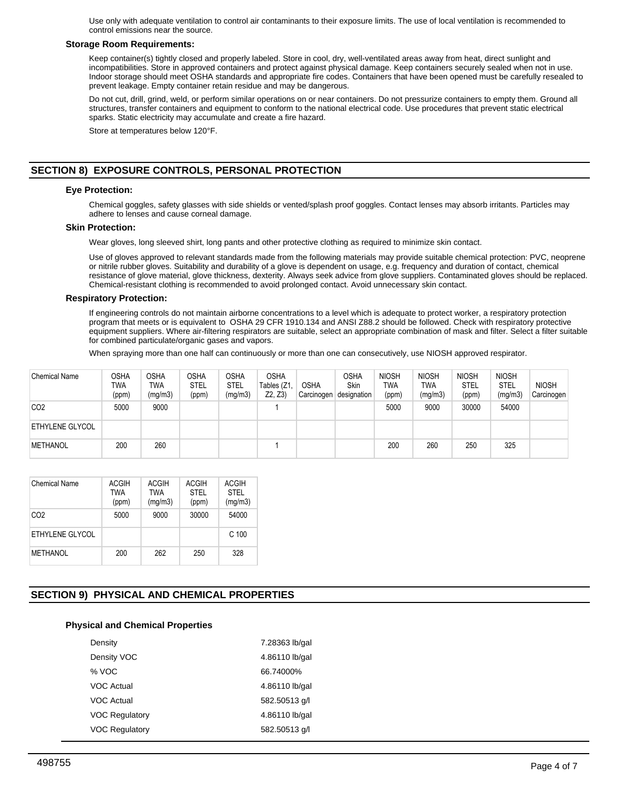Use only with adequate ventilation to control air contaminants to their exposure limits. The use of local ventilation is recommended to control emissions near the source.

## **Storage Room Requirements:**

Keep container(s) tightly closed and properly labeled. Store in cool, dry, well-ventilated areas away from heat, direct sunlight and incompatibilities. Store in approved containers and protect against physical damage. Keep containers securely sealed when not in use. Indoor storage should meet OSHA standards and appropriate fire codes. Containers that have been opened must be carefully resealed to prevent leakage. Empty container retain residue and may be dangerous.

Do not cut, drill, grind, weld, or perform similar operations on or near containers. Do not pressurize containers to empty them. Ground all structures, transfer containers and equipment to conform to the national electrical code. Use procedures that prevent static electrical sparks. Static electricity may accumulate and create a fire hazard.

Store at temperatures below 120°F.

# **SECTION 8) EXPOSURE CONTROLS, PERSONAL PROTECTION**

## **Eye Protection:**

Chemical goggles, safety glasses with side shields or vented/splash proof goggles. Contact lenses may absorb irritants. Particles may adhere to lenses and cause corneal damage.

## **Skin Protection:**

Wear gloves, long sleeved shirt, long pants and other protective clothing as required to minimize skin contact.

Use of gloves approved to relevant standards made from the following materials may provide suitable chemical protection: PVC, neoprene or nitrile rubber gloves. Suitability and durability of a glove is dependent on usage, e.g. frequency and duration of contact, chemical resistance of glove material, glove thickness, dexterity. Always seek advice from glove suppliers. Contaminated gloves should be replaced. Chemical-resistant clothing is recommended to avoid prolonged contact. Avoid unnecessary skin contact.

## **Respiratory Protection:**

If engineering controls do not maintain airborne concentrations to a level which is adequate to protect worker, a respiratory protection program that meets or is equivalent to OSHA 29 CFR 1910.134 and ANSI Z88.2 should be followed. Check with respiratory protective equipment suppliers. Where air-filtering respirators are suitable, select an appropriate combination of mask and filter. Select a filter suitable for combined particulate/organic gases and vapors.

When spraying more than one half can continuously or more than one can consecutively, use NIOSH approved respirator.

| <b>Chemical Name</b>   | <b>OSHA</b><br>TWA<br>(ppm) | OSHA<br>TWA<br>(mg/m3) | <b>OSHA</b><br><b>STEL</b><br>(ppm) | <b>OSHA</b><br><b>STEL</b><br>(mg/m3) | <b>OSHA</b><br>Tables (Z1<br>Z2, Z3 | <b>OSHA</b><br>Carcinogen | <b>OSHA</b><br>Skin<br>designation | <b>NIOSH</b><br><b>TWA</b><br>(ppm) | <b>NIOSH</b><br>TWA<br>(mg/m3) | <b>NIOSH</b><br><b>STEL</b><br>(ppm) | <b>NIOSH</b><br><b>STEL</b><br>(mg/m3) | <b>NIOSH</b><br>Carcinogen |
|------------------------|-----------------------------|------------------------|-------------------------------------|---------------------------------------|-------------------------------------|---------------------------|------------------------------------|-------------------------------------|--------------------------------|--------------------------------------|----------------------------------------|----------------------------|
| CO <sub>2</sub>        | 5000                        | 9000                   |                                     |                                       |                                     |                           |                                    | 5000                                | 9000                           | 30000                                | 54000                                  |                            |
| <b>ETHYLENE GLYCOL</b> |                             |                        |                                     |                                       |                                     |                           |                                    |                                     |                                |                                      |                                        |                            |
| <b>METHANOL</b>        | 200                         | 260                    |                                     |                                       |                                     |                           |                                    | 200                                 | 260                            | 250                                  | 325                                    |                            |

| Chemical Name   | <b>ACGIH</b><br><b>TWA</b><br>(ppm) | <b>ACGIH</b><br><b>TWA</b><br>(mg/m3) | <b>ACGIH</b><br>STFI<br>(ppm) | <b>ACGIH</b><br><b>STEL</b><br>(mg/m3) |
|-----------------|-------------------------------------|---------------------------------------|-------------------------------|----------------------------------------|
| CO <sub>2</sub> | 5000                                | 9000                                  | 30000                         | 54000                                  |
| ETHYLENE GLYCOL |                                     |                                       |                               | C <sub>100</sub>                       |
| <b>METHANOL</b> | 200                                 | 262                                   | 250                           | 328                                    |

# **SECTION 9) PHYSICAL AND CHEMICAL PROPERTIES**

## **Physical and Chemical Properties**

| Density               | 7.28363 lb/gal |
|-----------------------|----------------|
| Density VOC           | 4.86110 lb/gal |
| % VOC                 | 66.74000%      |
| <b>VOC Actual</b>     | 4.86110 lb/gal |
| <b>VOC Actual</b>     | 582.50513 g/l  |
| <b>VOC Regulatory</b> | 4.86110 lb/gal |
| <b>VOC Regulatory</b> | 582.50513 g/l  |
|                       |                |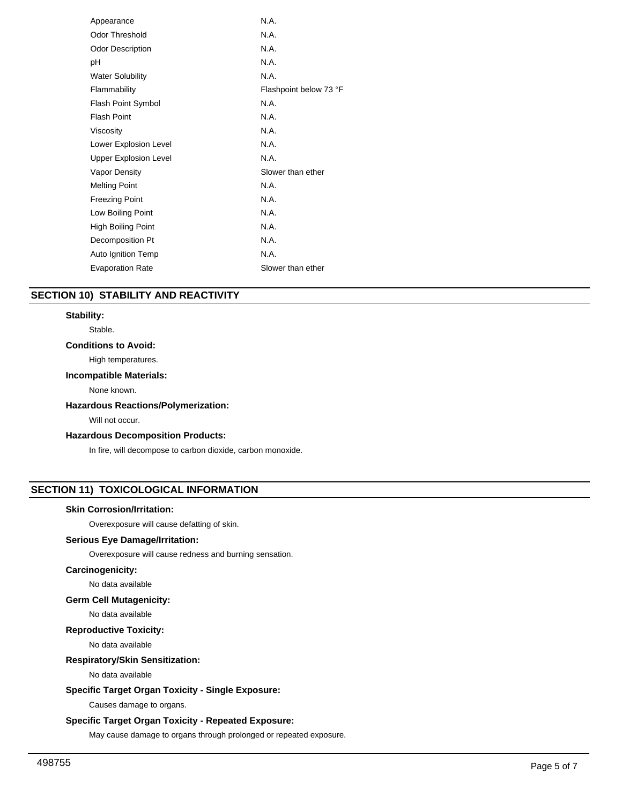| Appearance                   | N.A.                   |
|------------------------------|------------------------|
| <b>Odor Threshold</b>        | N.A.                   |
| <b>Odor Description</b>      | N.A.                   |
| рH                           | N.A.                   |
| <b>Water Solubility</b>      | N.A.                   |
| Flammability                 | Flashpoint below 73 °F |
| <b>Flash Point Symbol</b>    | N.A.                   |
| <b>Flash Point</b>           | N.A.                   |
| Viscosity                    | N.A.                   |
| Lower Explosion Level        | N.A.                   |
| <b>Upper Explosion Level</b> | N.A.                   |
| <b>Vapor Density</b>         | Slower than ether      |
| <b>Melting Point</b>         | N.A.                   |
| <b>Freezing Point</b>        | N.A.                   |
| Low Boiling Point            | N.A.                   |
| High Boiling Point           | N.A.                   |
| Decomposition Pt             | N.A.                   |
| Auto Ignition Temp           | N.A.                   |
| <b>Evaporation Rate</b>      | Slower than ether      |
|                              |                        |

# **SECTION 10) STABILITY AND REACTIVITY**

# **Stability:**

Stable.

## **Conditions to Avoid:**

High temperatures.

## **Incompatible Materials:**

None known.

## **Hazardous Reactions/Polymerization:**

Will not occur.

## **Hazardous Decomposition Products:**

In fire, will decompose to carbon dioxide, carbon monoxide.

# **SECTION 11) TOXICOLOGICAL INFORMATION**

## **Skin Corrosion/Irritation:**

Overexposure will cause defatting of skin.

## **Serious Eye Damage/Irritation:**

Overexposure will cause redness and burning sensation.

## **Carcinogenicity:**

No data available

## **Germ Cell Mutagenicity:**

No data available

## **Reproductive Toxicity:**

No data available

# **Respiratory/Skin Sensitization:**

No data available

## **Specific Target Organ Toxicity - Single Exposure:**

Causes damage to organs.

## **Specific Target Organ Toxicity - Repeated Exposure:**

May cause damage to organs through prolonged or repeated exposure.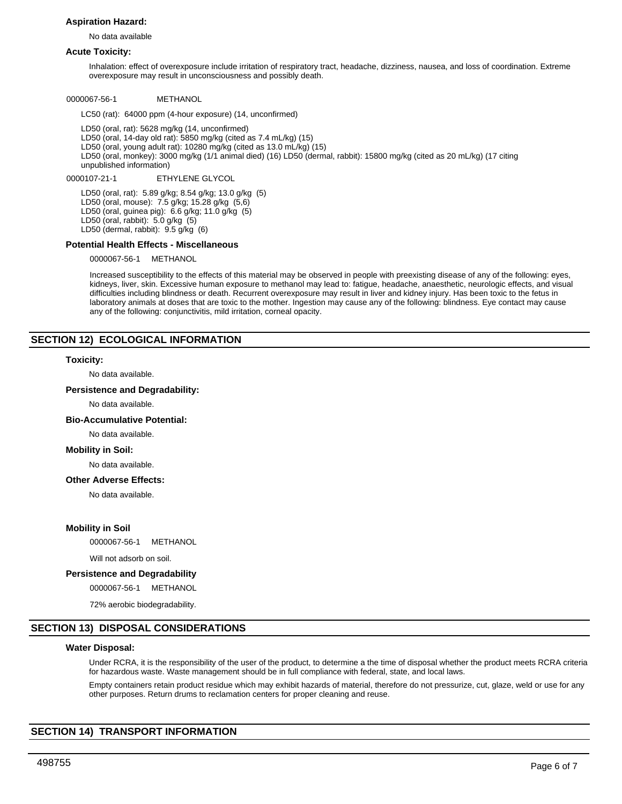## **Aspiration Hazard:**

No data available

#### **Acute Toxicity:**

Inhalation: effect of overexposure include irritation of respiratory tract, headache, dizziness, nausea, and loss of coordination. Extreme overexposure may result in unconsciousness and possibly death.

0000067-56-1 METHANOL

LC50 (rat): 64000 ppm (4-hour exposure) (14, unconfirmed)

LD50 (oral, rat): 5628 mg/kg (14, unconfirmed) LD50 (oral, 14-day old rat): 5850 mg/kg (cited as 7.4 mL/kg) (15) LD50 (oral, young adult rat): 10280 mg/kg (cited as 13.0 mL/kg) (15) LD50 (oral, monkey): 3000 mg/kg (1/1 animal died) (16) LD50 (dermal, rabbit): 15800 mg/kg (cited as 20 mL/kg) (17 citing unpublished information)

0000107-21-1 ETHYLENE GLYCOL

LD50 (oral, rat): 5.89 g/kg; 8.54 g/kg; 13.0 g/kg (5) LD50 (oral, mouse): 7.5 g/kg; 15.28 g/kg (5,6) LD50 (oral, guinea pig): 6.6 g/kg; 11.0 g/kg (5) LD50 (oral, rabbit): 5.0 g/kg (5) LD50 (dermal, rabbit): 9.5 g/kg (6)

## **Potential Health Effects - Miscellaneous**

0000067-56-1 METHANOL

Increased susceptibility to the effects of this material may be observed in people with preexisting disease of any of the following: eyes, kidneys, liver, skin. Excessive human exposure to methanol may lead to: fatigue, headache, anaesthetic, neurologic effects, and visual difficulties including blindness or death. Recurrent overexposure may result in liver and kidney injury. Has been toxic to the fetus in laboratory animals at doses that are toxic to the mother. Ingestion may cause any of the following: blindness. Eye contact may cause any of the following: conjunctivitis, mild irritation, corneal opacity.

## **SECTION 12) ECOLOGICAL INFORMATION**

#### **Toxicity:**

No data available.

## **Persistence and Degradability:**

No data available.

#### **Bio-Accumulative Potential:**

No data available.

#### **Mobility in Soil:**

No data available.

#### **Other Adverse Effects:**

No data available.

#### **Mobility in Soil**

0000067-56-1 METHANOL

Will not adsorb on soil.

## **Persistence and Degradability**

0000067-56-1 METHANOL

72% aerobic biodegradability.

# **SECTION 13) DISPOSAL CONSIDERATIONS**

#### **Water Disposal:**

Under RCRA, it is the responsibility of the user of the product, to determine a the time of disposal whether the product meets RCRA criteria for hazardous waste. Waste management should be in full compliance with federal, state, and local laws.

Empty containers retain product residue which may exhibit hazards of material, therefore do not pressurize, cut, glaze, weld or use for any other purposes. Return drums to reclamation centers for proper cleaning and reuse.

## **SECTION 14) TRANSPORT INFORMATION**